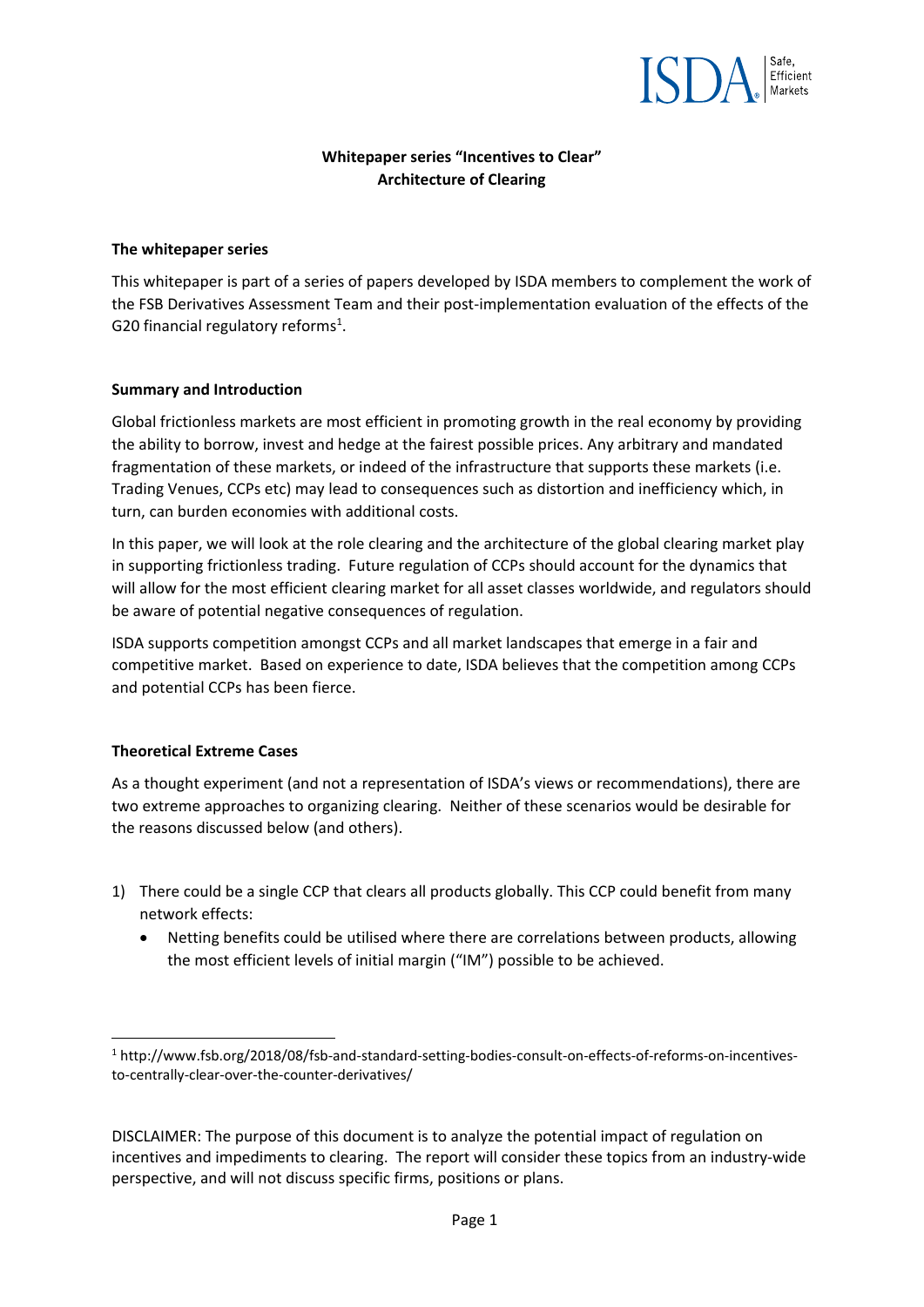

# **Whitepaper series "Incentives to Clear" Architecture of Clearing**

#### **The whitepaper series**

This whitepaper is part of a series of papers developed by ISDA members to complement the work of the FSB Derivatives Assessment Team and their post‐implementation evaluation of the effects of the G20 financial regulatory reforms<sup>1</sup>.

### **Summary and Introduction**

Global frictionless markets are most efficient in promoting growth in the real economy by providing the ability to borrow, invest and hedge at the fairest possible prices. Any arbitrary and mandated fragmentation of these markets, or indeed of the infrastructure that supports these markets (i.e. Trading Venues, CCPs etc) may lead to consequences such as distortion and inefficiency which, in turn, can burden economies with additional costs.

In this paper, we will look at the role clearing and the architecture of the global clearing market play in supporting frictionless trading. Future regulation of CCPs should account for the dynamics that will allow for the most efficient clearing market for all asset classes worldwide, and regulators should be aware of potential negative consequences of regulation.

ISDA supports competition amongst CCPs and all market landscapes that emerge in a fair and competitive market. Based on experience to date, ISDA believes that the competition among CCPs and potential CCPs has been fierce.

# **Theoretical Extreme Cases**

As a thought experiment (and not a representation of ISDA's views or recommendations), there are two extreme approaches to organizing clearing. Neither of these scenarios would be desirable for the reasons discussed below (and others).

- 1) There could be a single CCP that clears all products globally. This CCP could benefit from many network effects:
	- Netting benefits could be utilised where there are correlations between products, allowing the most efficient levels of initial margin ("IM") possible to be achieved.

<sup>1</sup> http://www.fsb.org/2018/08/fsb‐and‐standard‐setting‐bodies‐consult‐on‐effects‐of‐reforms‐on‐incentives‐ to‐centrally‐clear‐over‐the‐counter‐derivatives/

DISCLAIMER: The purpose of this document is to analyze the potential impact of regulation on incentives and impediments to clearing. The report will consider these topics from an industry‐wide perspective, and will not discuss specific firms, positions or plans.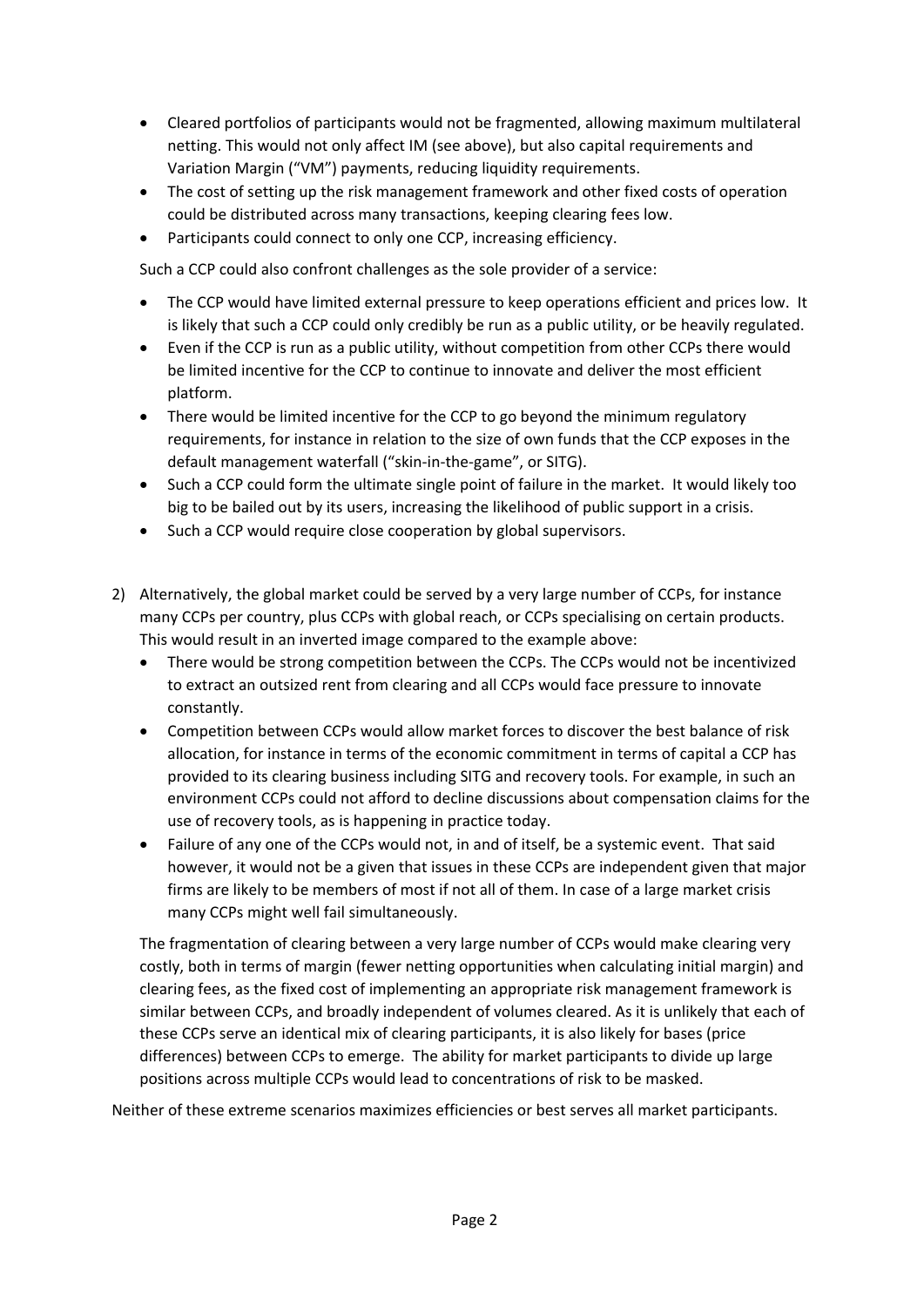- Cleared portfolios of participants would not be fragmented, allowing maximum multilateral netting. This would not only affect IM (see above), but also capital requirements and Variation Margin ("VM") payments, reducing liquidity requirements.
- The cost of setting up the risk management framework and other fixed costs of operation could be distributed across many transactions, keeping clearing fees low.
- Participants could connect to only one CCP, increasing efficiency.

Such a CCP could also confront challenges as the sole provider of a service:

- The CCP would have limited external pressure to keep operations efficient and prices low. It is likely that such a CCP could only credibly be run as a public utility, or be heavily regulated.
- Even if the CCP is run as a public utility, without competition from other CCPs there would be limited incentive for the CCP to continue to innovate and deliver the most efficient platform.
- There would be limited incentive for the CCP to go beyond the minimum regulatory requirements, for instance in relation to the size of own funds that the CCP exposes in the default management waterfall ("skin‐in‐the‐game", or SITG).
- Such a CCP could form the ultimate single point of failure in the market. It would likely too big to be bailed out by its users, increasing the likelihood of public support in a crisis.
- Such a CCP would require close cooperation by global supervisors.
- 2) Alternatively, the global market could be served by a very large number of CCPs, for instance many CCPs per country, plus CCPs with global reach, or CCPs specialising on certain products. This would result in an inverted image compared to the example above:
	- There would be strong competition between the CCPs. The CCPs would not be incentivized to extract an outsized rent from clearing and all CCPs would face pressure to innovate constantly.
	- Competition between CCPs would allow market forces to discover the best balance of risk allocation, for instance in terms of the economic commitment in terms of capital a CCP has provided to its clearing business including SITG and recovery tools. For example, in such an environment CCPs could not afford to decline discussions about compensation claims for the use of recovery tools, as is happening in practice today.
	- Failure of any one of the CCPs would not, in and of itself, be a systemic event. That said however, it would not be a given that issues in these CCPs are independent given that major firms are likely to be members of most if not all of them. In case of a large market crisis many CCPs might well fail simultaneously.

The fragmentation of clearing between a very large number of CCPs would make clearing very costly, both in terms of margin (fewer netting opportunities when calculating initial margin) and clearing fees, as the fixed cost of implementing an appropriate risk management framework is similar between CCPs, and broadly independent of volumes cleared. As it is unlikely that each of these CCPs serve an identical mix of clearing participants, it is also likely for bases (price differences) between CCPs to emerge. The ability for market participants to divide up large positions across multiple CCPs would lead to concentrations of risk to be masked.

Neither of these extreme scenarios maximizes efficiencies or best serves all market participants.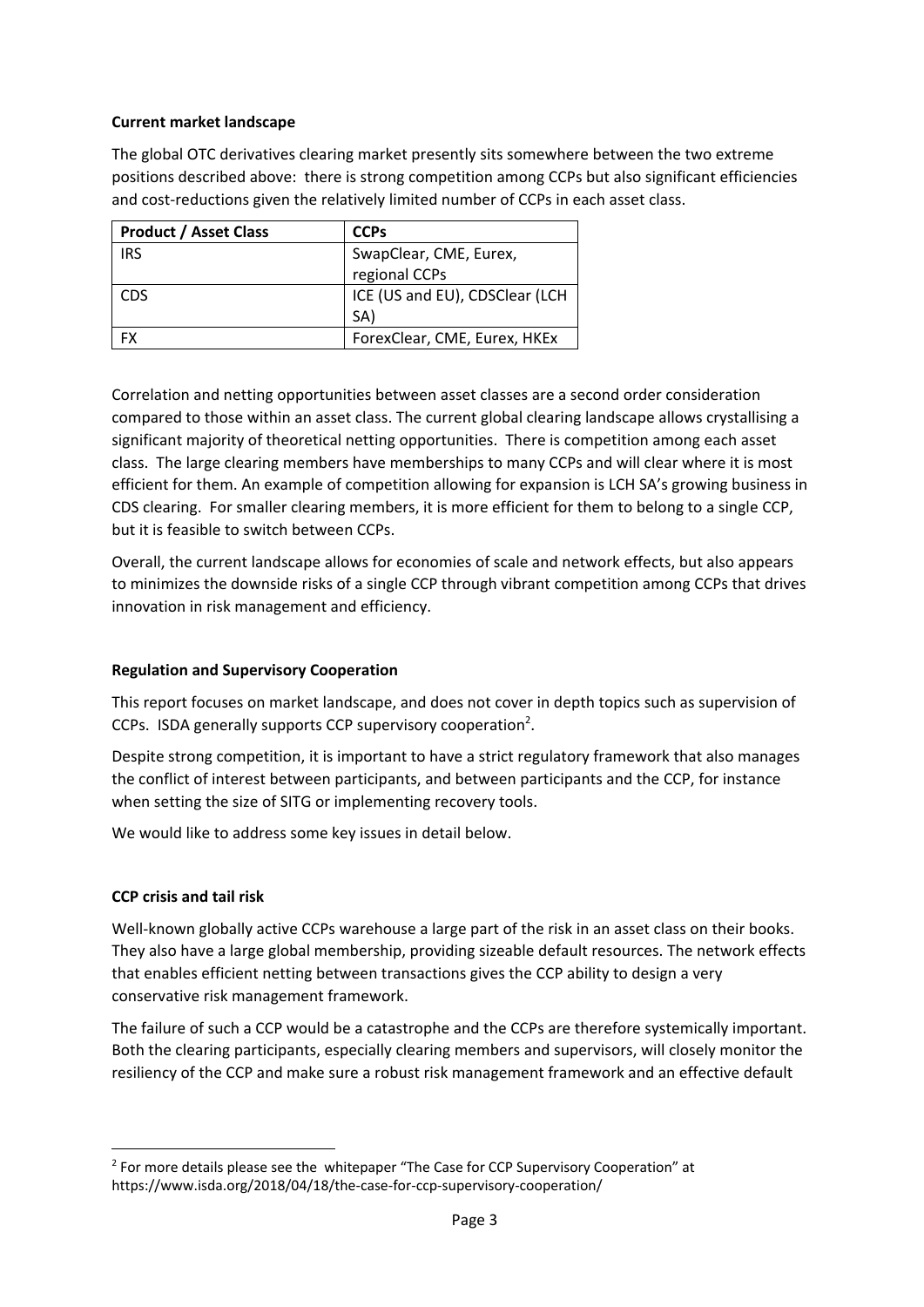### **Current market landscape**

The global OTC derivatives clearing market presently sits somewhere between the two extreme positions described above: there is strong competition among CCPs but also significant efficiencies and cost-reductions given the relatively limited number of CCPs in each asset class.

| <b>Product / Asset Class</b> | <b>CCPs</b>                    |
|------------------------------|--------------------------------|
| <b>IRS</b>                   | SwapClear, CME, Eurex,         |
|                              | regional CCPs                  |
| CDS                          | ICE (US and EU), CDSClear (LCH |
|                              | (SA                            |
| FX                           | ForexClear, CME, Eurex, HKEx   |

Correlation and netting opportunities between asset classes are a second order consideration compared to those within an asset class. The current global clearing landscape allows crystallising a significant majority of theoretical netting opportunities. There is competition among each asset class. The large clearing members have memberships to many CCPs and will clear where it is most efficient for them. An example of competition allowing for expansion is LCH SA's growing business in CDS clearing. For smaller clearing members, it is more efficient for them to belong to a single CCP, but it is feasible to switch between CCPs.

Overall, the current landscape allows for economies of scale and network effects, but also appears to minimizes the downside risks of a single CCP through vibrant competition among CCPs that drives innovation in risk management and efficiency.

#### **Regulation and Supervisory Cooperation**

This report focuses on market landscape, and does not cover in depth topics such as supervision of CCPs. ISDA generally supports CCP supervisory cooperation<sup>2</sup>.

Despite strong competition, it is important to have a strict regulatory framework that also manages the conflict of interest between participants, and between participants and the CCP, for instance when setting the size of SITG or implementing recovery tools.

We would like to address some key issues in detail below.

#### **CCP crisis and tail risk**

Well-known globally active CCPs warehouse a large part of the risk in an asset class on their books. They also have a large global membership, providing sizeable default resources. The network effects that enables efficient netting between transactions gives the CCP ability to design a very conservative risk management framework.

The failure of such a CCP would be a catastrophe and the CCPs are therefore systemically important. Both the clearing participants, especially clearing members and supervisors, will closely monitor the resiliency of the CCP and make sure a robust risk management framework and an effective default

<sup>&</sup>lt;sup>2</sup> For more details please see the whitepaper "The Case for CCP Supervisory Cooperation" at https://www.isda.org/2018/04/18/the‐case‐for‐ccp‐supervisory‐cooperation/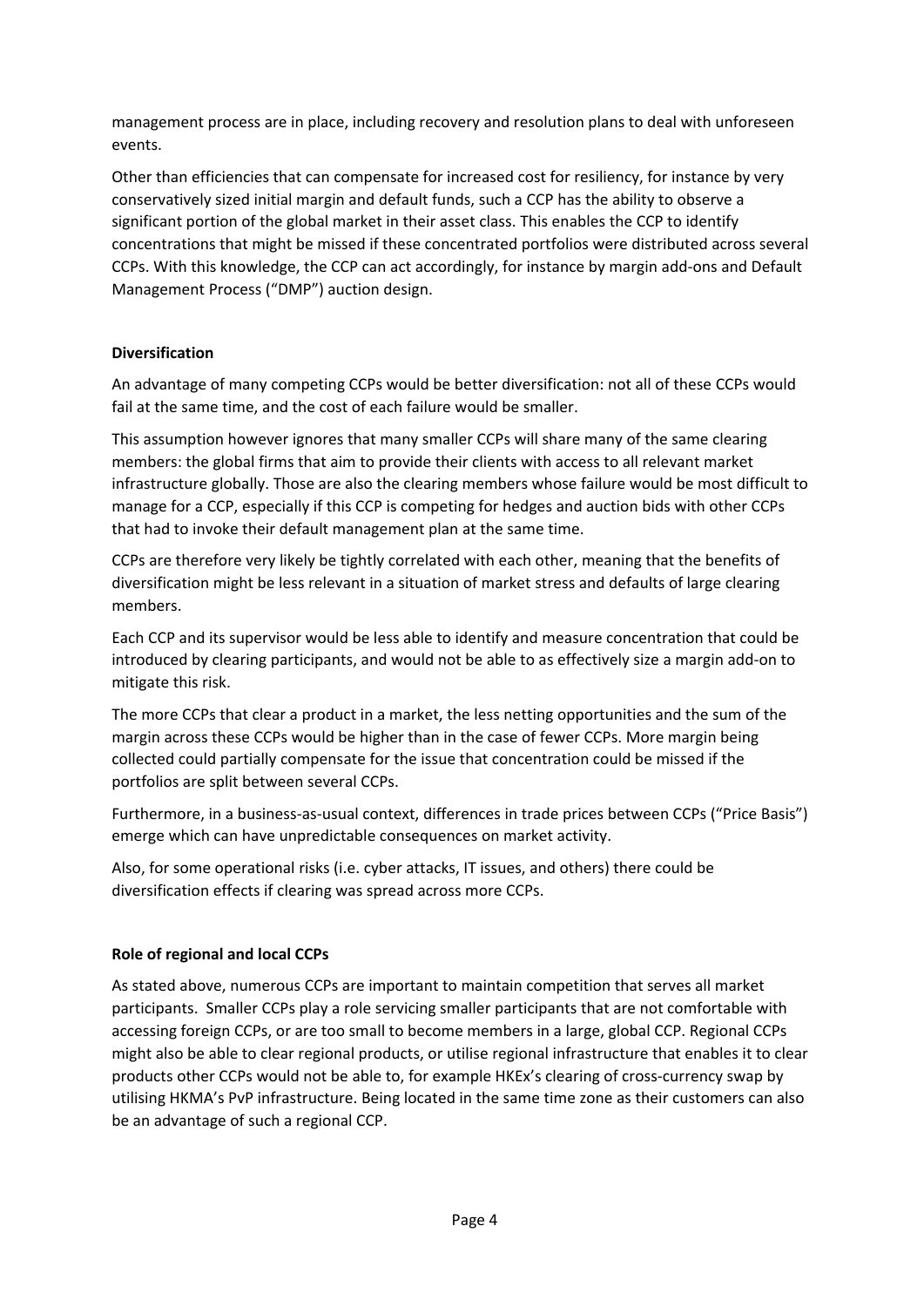management process are in place, including recovery and resolution plans to deal with unforeseen events.

Other than efficiencies that can compensate for increased cost for resiliency, for instance by very conservatively sized initial margin and default funds, such a CCP has the ability to observe a significant portion of the global market in their asset class. This enables the CCP to identify concentrations that might be missed if these concentrated portfolios were distributed across several CCPs. With this knowledge, the CCP can act accordingly, for instance by margin add‐ons and Default Management Process ("DMP") auction design.

# **Diversification**

An advantage of many competing CCPs would be better diversification: not all of these CCPs would fail at the same time, and the cost of each failure would be smaller.

This assumption however ignores that many smaller CCPs will share many of the same clearing members: the global firms that aim to provide their clients with access to all relevant market infrastructure globally. Those are also the clearing members whose failure would be most difficult to manage for a CCP, especially if this CCP is competing for hedges and auction bids with other CCPs that had to invoke their default management plan at the same time.

CCPs are therefore very likely be tightly correlated with each other, meaning that the benefits of diversification might be less relevant in a situation of market stress and defaults of large clearing members.

Each CCP and its supervisor would be less able to identify and measure concentration that could be introduced by clearing participants, and would not be able to as effectively size a margin add‐on to mitigate this risk.

The more CCPs that clear a product in a market, the less netting opportunities and the sum of the margin across these CCPs would be higher than in the case of fewer CCPs. More margin being collected could partially compensate for the issue that concentration could be missed if the portfolios are split between several CCPs.

Furthermore, in a business‐as‐usual context, differences in trade prices between CCPs ("Price Basis") emerge which can have unpredictable consequences on market activity.

Also, for some operational risks (i.e. cyber attacks, IT issues, and others) there could be diversification effects if clearing was spread across more CCPs.

# **Role of regional and local CCPs**

As stated above, numerous CCPs are important to maintain competition that serves all market participants. Smaller CCPs play a role servicing smaller participants that are not comfortable with accessing foreign CCPs, or are too small to become members in a large, global CCP. Regional CCPs might also be able to clear regional products, or utilise regional infrastructure that enables it to clear products other CCPs would not be able to, for example HKEx's clearing of cross-currency swap by utilising HKMA's PvP infrastructure. Being located in the same time zone as their customers can also be an advantage of such a regional CCP.